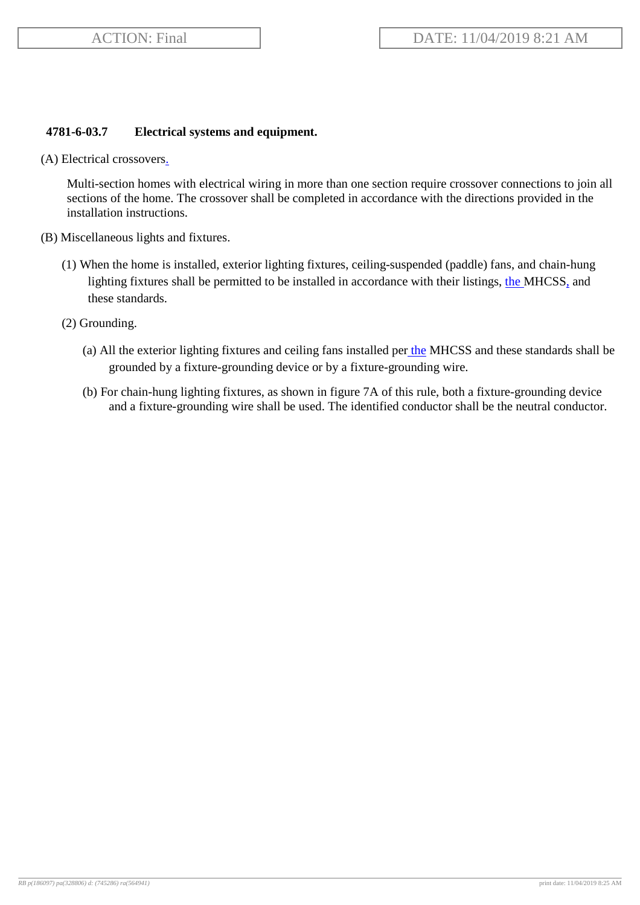## **4781-6-03.7 Electrical systems and equipment.**

(A) Electrical crossovers.

Multi-section homes with electrical wiring in more than one section require crossover connections to join all sections of the home. The crossover shall be completed in accordance with the directions provided in the installation instructions.

- (B) Miscellaneous lights and fixtures.
	- (1) When the home is installed, exterior lighting fixtures, ceiling-suspended (paddle) fans, and chain-hung lighting fixtures shall be permitted to be installed in accordance with their listings, the MHCSS, and these standards.
	- (2) Grounding.
		- (a) All the exterior lighting fixtures and ceiling fans installed per the MHCSS and these standards shall be grounded by a fixture-grounding device or by a fixture-grounding wire.
		- (b) For chain-hung lighting fixtures, as shown in figure 7A of this rule, both a fixture-grounding device and a fixture-grounding wire shall be used. The identified conductor shall be the neutral conductor.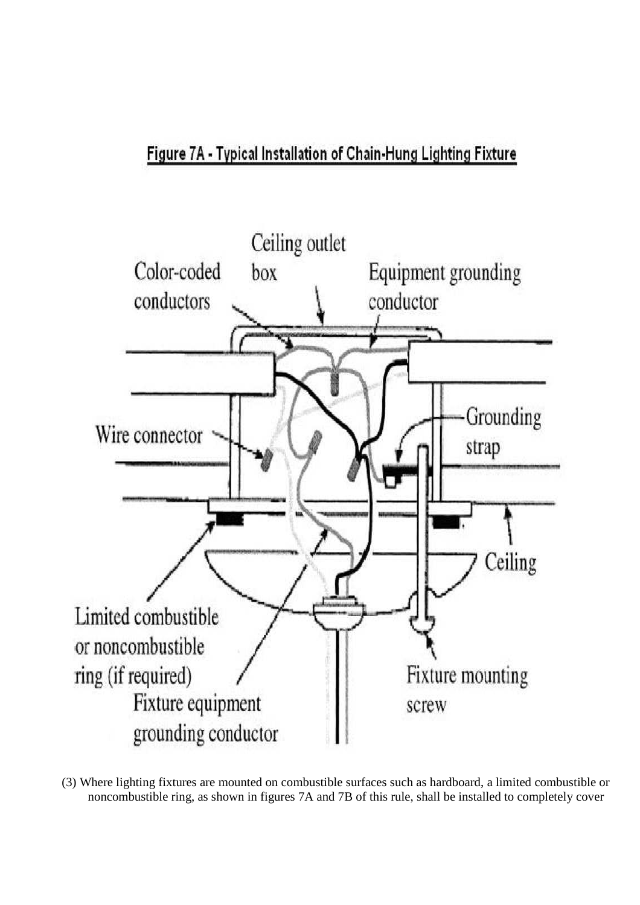## Figure 7A - Typical Installation of Chain-Hung Lighting Fixture



(3) Where lighting fixtures are mounted on combustible surfaces such as hardboard, a limited combustible or noncombustible ring, as shown in figures 7A and 7B of this rule, shall be installed to completely cover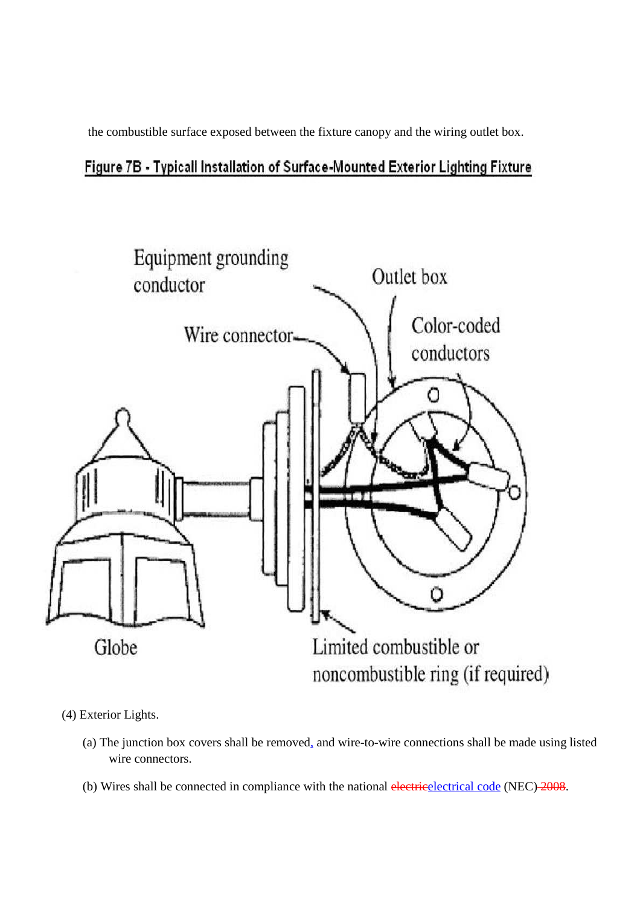the combustible surface exposed between the fixture canopy and the wiring outlet box.

## Figure 7B - Typicall Installation of Surface-Mounted Exterior Lighting Fixture



(4) Exterior Lights.

- (a) The junction box covers shall be removed, and wire-to-wire connections shall be made using listed wire connectors.
- (b) Wires shall be connected in compliance with the national electricelectrical code (NEC)-2008.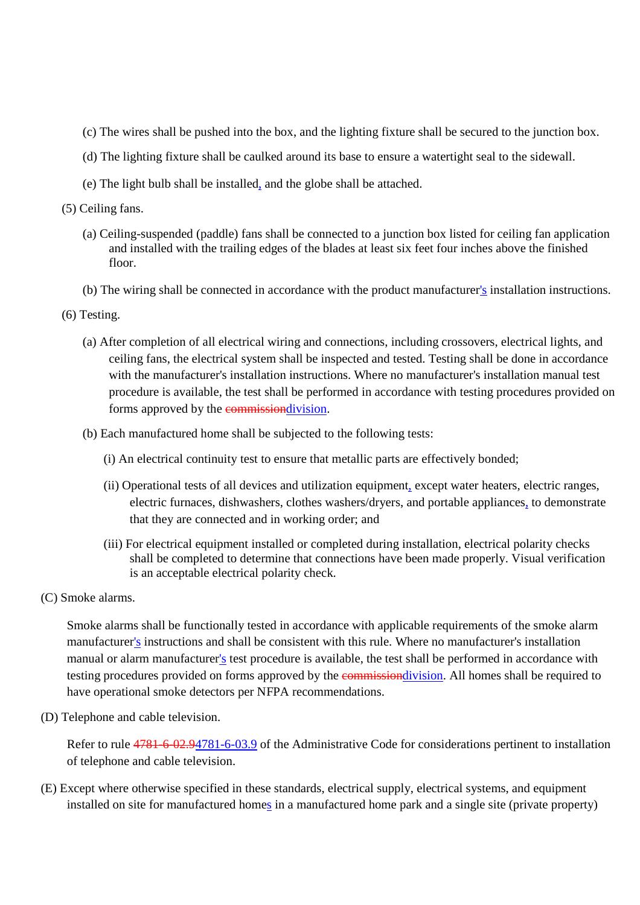- (c) The wires shall be pushed into the box, and the lighting fixture shall be secured to the junction box.
- (d) The lighting fixture shall be caulked around its base to ensure a watertight seal to the sidewall.
- (e) The light bulb shall be installed, and the globe shall be attached.
- (5) Ceiling fans.
	- (a) Ceiling-suspended (paddle) fans shall be connected to a junction box listed for ceiling fan application and installed with the trailing edges of the blades at least six feet four inches above the finished floor.
	- (b) The wiring shall be connected in accordance with the product manufacturer's installation instructions.
- (6) Testing.
	- (a) After completion of all electrical wiring and connections, including crossovers, electrical lights, and ceiling fans, the electrical system shall be inspected and tested. Testing shall be done in accordance with the manufacturer's installation instructions. Where no manufacturer's installation manual test procedure is available, the test shall be performed in accordance with testing procedures provided on forms approved by the commissiondivision.
	- (b) Each manufactured home shall be subjected to the following tests:
		- (i) An electrical continuity test to ensure that metallic parts are effectively bonded;
		- (ii) Operational tests of all devices and utilization equipment, except water heaters, electric ranges, electric furnaces, dishwashers, clothes washers/dryers, and portable appliances, to demonstrate that they are connected and in working order; and
		- (iii) For electrical equipment installed or completed during installation, electrical polarity checks shall be completed to determine that connections have been made properly. Visual verification is an acceptable electrical polarity check.
- (C) Smoke alarms.

Smoke alarms shall be functionally tested in accordance with applicable requirements of the smoke alarm manufacturer's instructions and shall be consistent with this rule. Where no manufacturer's installation manual or alarm manufacturer's test procedure is available, the test shall be performed in accordance with testing procedures provided on forms approved by the commissiondivision. All homes shall be required to have operational smoke detectors per NFPA recommendations.

(D) Telephone and cable television.

Refer to rule 4781-6-02.94781-6-03.9 of the Administrative Code for considerations pertinent to installation of telephone and cable television.

(E) Except where otherwise specified in these standards, electrical supply, electrical systems, and equipment installed on site for manufactured homes in a manufactured home park and a single site (private property)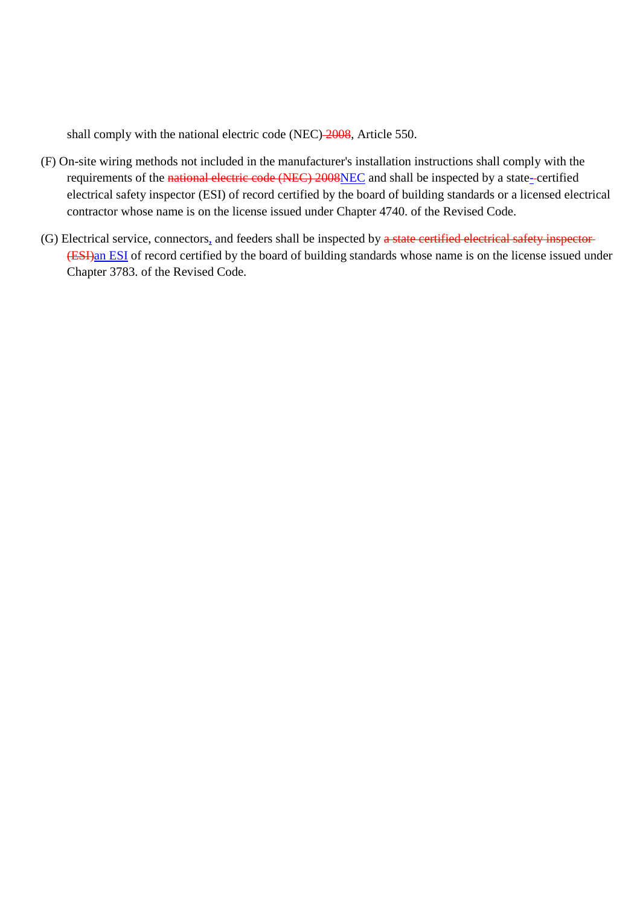shall comply with the national electric code (NEC)-2008, Article 550.

- (F) On-site wiring methods not included in the manufacturer's installation instructions shall comply with the requirements of the national electric code (NEC) 2008NEC and shall be inspected by a state-certified electrical safety inspector (ESI) of record certified by the board of building standards or a licensed electrical contractor whose name is on the license issued under Chapter 4740. of the Revised Code.
- (G) Electrical service, connectors, and feeders shall be inspected by a state certified electrical safety inspector-(ESI)an ESI of record certified by the board of building standards whose name is on the license issued under Chapter 3783. of the Revised Code.